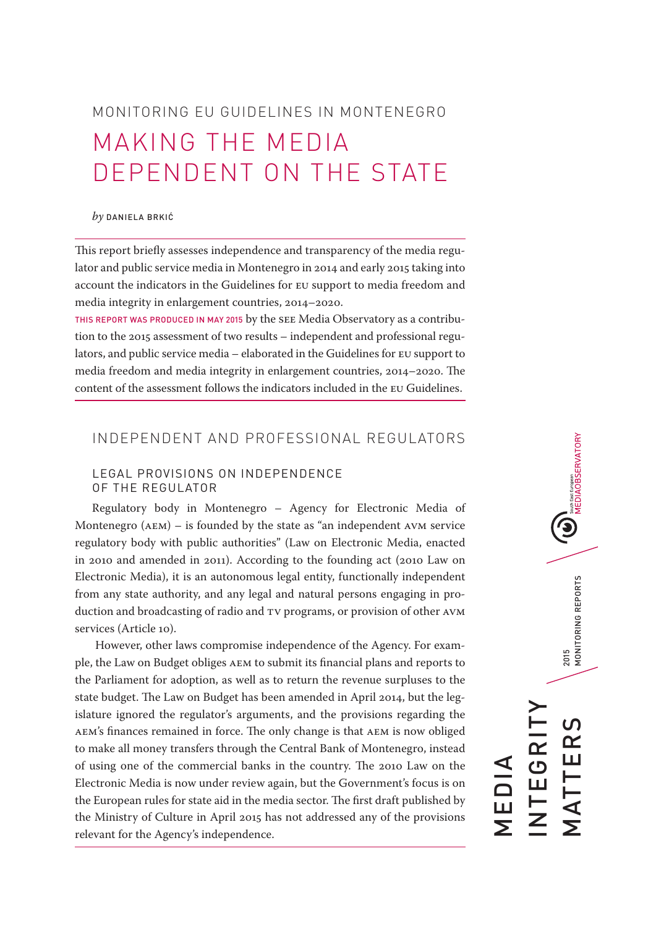# MONITORING EU GUIDELINES IN MONTENEGRO MAKING THE MEDIA DEPENDENT ON THE STATE

#### *by* DANIELA BRKIĆ

This report briefly assesses independence and transparency of the media regulator and public service media in Montenegro in 2014 and early 2015 taking into account the indicators in the Guidelines for EU support to media freedom and media integrity in enlargement countries, 2014–2020.

THIS REPORT WAS PRODUCED IN MAY 2015 by the SEE Media Observatory as a contribution to the 2015 assessment of two results – independent and professional regulators, and public service media – elaborated in the Guidelines for EU support to media freedom and media integrity in enlargement countries, 2014–2020. The content of the assessment follows the indicators included in the EU Guidelines.

# INDEPENDENT AND PROFESSIONAL REGULATORS

## LEGAL PROVISIONS ON INDEPENDENCE OF THE REGULATOR

Regulatory body in Montenegro – Agency for Electronic Media of Montenegro (AEM) – is founded by the state as "an independent AVM service regulatory body with public authorities" (Law on Electronic Media, enacted in 2010 and amended in 2011). According to the founding act (2010 Law on Electronic Media), it is an autonomous legal entity, functionally independent from any state authority, and any legal and natural persons engaging in production and broadcasting of radio and TV programs, or provision of other AVM services (Article 10).

 However, other laws compromise independence of the Agency. For example, the Law on Budget obliges AEM to submit its financial plans and reports to the Parliament for adoption, as well as to return the revenue surpluses to the state budget. The Law on Budget has been amended in April 2014, but the legislature ignored the regulator's arguments, and the provisions regarding the AEM's finances remained in force. The only change is that AEM is now obliged to make all money transfers through the Central Bank of Montenegro, instead of using one of the commercial banks in the country. The 2010 Law on the Electronic Media is now under review again, but the Government's focus is on the European rules for state aid in the media sector. The first draft published by the Ministry of Culture in April 2015 has not addressed any of the provisions relevant for the Agency's independence.

**(U)**<br>MEDIAOBSERVATORY 2015<br>MONITORING REPORTS MATTERS 2015 MONITORING REPORTS INTEGRITY **EGRI** MATTER MEDIA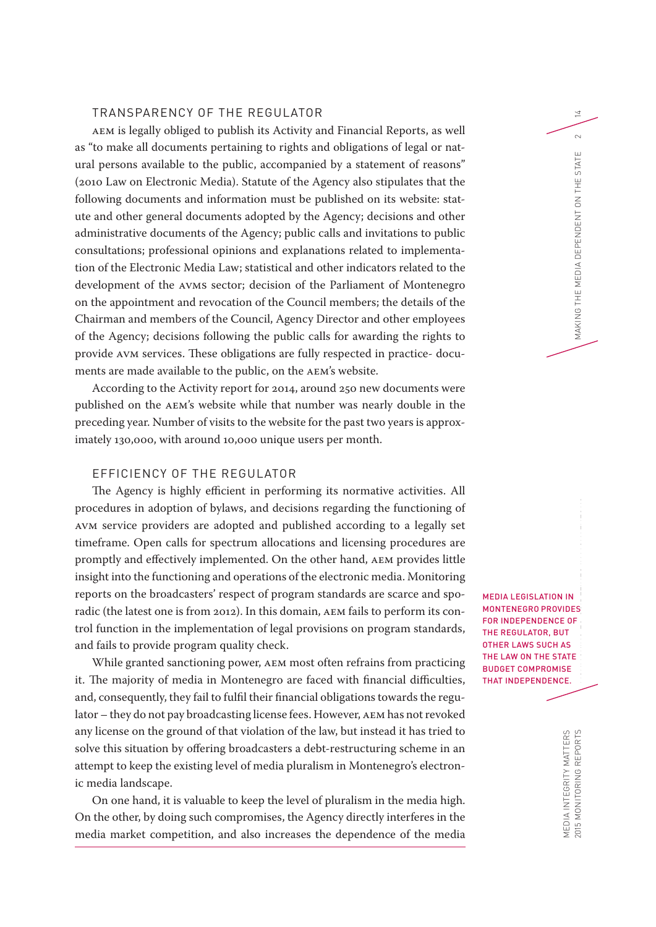#### TRANSPARENCY OF THE REGULATOR

AEM is legally obliged to publish its Activity and Financial Reports, as well as "to make all documents pertaining to rights and obligations of legal or natural persons available to the public, accompanied by a statement of reasons" (2010 Law on Electronic Media). Statute of the Agency also stipulates that the following documents and information must be published on its website: statute and other general documents adopted by the Agency; decisions and other administrative documents of the Agency; public calls and invitations to public consultations; professional opinions and explanations related to implementation of the Electronic Media Law; statistical and other indicators related to the development of the AVMS sector; decision of the Parliament of Montenegro on the appointment and revocation of the Council members; the details of the Chairman and members of the Council, Agency Director and other employees of the Agency; decisions following the public calls for awarding the rights to provide AVM services. These obligations are fully respected in practice- documents are made available to the public, on the AEM's website.

According to the Activity report for 2014, around 250 new documents were published on the AEM's website while that number was nearly double in the preceding year. Number of visits to the website for the past two years is approximately 130,000, with around 10,000 unique users per month.

## EFFICIENCY OF THE REGULATOR

The Agency is highly efficient in performing its normative activities. All procedures in adoption of bylaws, and decisions regarding the functioning of AVM service providers are adopted and published according to a legally set timeframe. Open calls for spectrum allocations and licensing procedures are promptly and effectively implemented. On the other hand, AEM provides little insight into the functioning and operations of the electronic media. Monitoring reports on the broadcasters' respect of program standards are scarce and sporadic (the latest one is from 2012). In this domain, AEM fails to perform its control function in the implementation of legal provisions on program standards, and fails to provide program quality check.

While granted sanctioning power, AEM most often refrains from practicing it. The majority of media in Montenegro are faced with financial difficulties, and, consequently, they fail to fulfil their financial obligations towards the regulator – they do not pay broadcasting license fees. However, AEM has not revoked any license on the ground of that violation of the law, but instead it has tried to solve this situation by offering broadcasters a debt-restructuring scheme in an attempt to keep the existing level of media pluralism in Montenegro's electronic media landscape.

On one hand, it is valuable to keep the level of pluralism in the media high. On the other, by doing such compromises, the Agency directly interferes in the media market competition, and also increases the dependence of the media MEDIA LEGISLATION IN MONTENEGRO PROVIDES FOR INDEPENDENCE OF THE REGULATOR, BUT OTHER LAWS SUCH AS THE LAW ON THE STATE BUDGET COMPROMISE THAT INDEPENDENCE.

 $\overline{\Xi}$ 

 $\sim$ Ш

MAKING THE MEDIA DEPENDENT ON THE STAT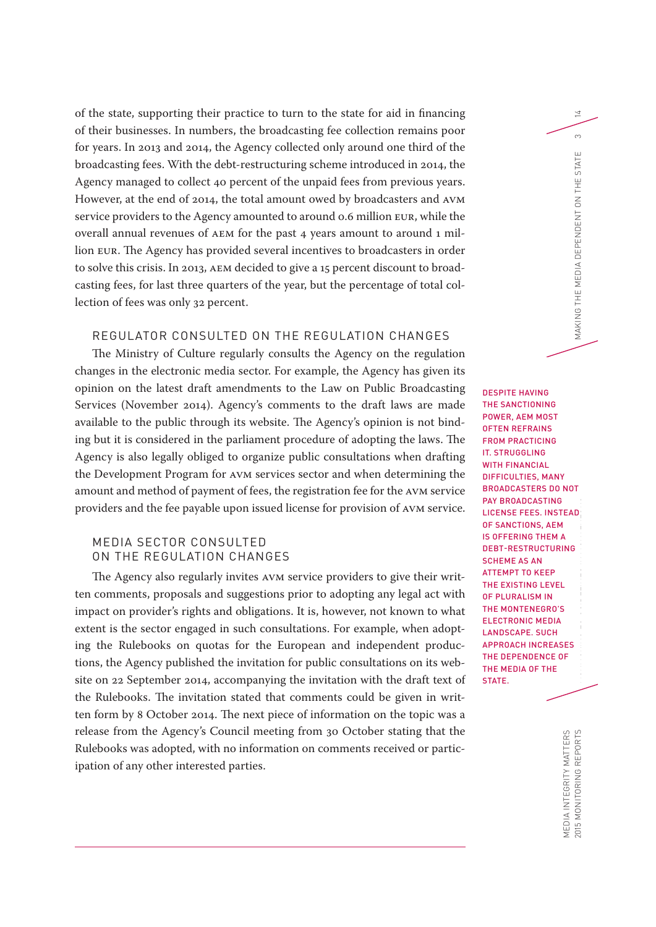of the state, supporting their practice to turn to the state for aid in financing of their businesses. In numbers, the broadcasting fee collection remains poor for years. In 2013 and 2014, the Agency collected only around one third of the broadcasting fees. With the debt-restructuring scheme introduced in 2014, the Agency managed to collect 40 percent of the unpaid fees from previous years. However, at the end of 2014, the total amount owed by broadcasters and AVM service providers to the Agency amounted to around 0.6 million EUR, while the overall annual revenues of AEM for the past 4 years amount to around 1 million EUR. The Agency has provided several incentives to broadcasters in order to solve this crisis. In 2013, AEM decided to give a 15 percent discount to broadcasting fees, for last three quarters of the year, but the percentage of total collection of fees was only 32 percent.

# REGULATOR CONSULTED ON THE REGULATION CHANGES

The Ministry of Culture regularly consults the Agency on the regulation changes in the electronic media sector. For example, the Agency has given its opinion on the latest draft amendments to the Law on Public Broadcasting Services (November 2014). Agency's comments to the draft laws are made available to the public through its website. The Agency's opinion is not binding but it is considered in the parliament procedure of adopting the laws. The Agency is also legally obliged to organize public consultations when drafting the Development Program for AVM services sector and when determining the amount and method of payment of fees, the registration fee for the AVM service providers and the fee payable upon issued license for provision of AVM service.

## MEDIA SECTOR CONSULTED ON THE REGULATION CHANGES

The Agency also regularly invites AVM service providers to give their written comments, proposals and suggestions prior to adopting any legal act with impact on provider's rights and obligations. It is, however, not known to what extent is the sector engaged in such consultations. For example, when adopting the Rulebooks on quotas for the European and independent productions, the Agency published the invitation for public consultations on its website on 22 September 2014, accompanying the invitation with the draft text of the Rulebooks. The invitation stated that comments could be given in written form by 8 October 2014. The next piece of information on the topic was a release from the Agency's Council meeting from 30 October stating that the Rulebooks was adopted, with no information on comments received or participation of any other interested parties.

2015 MONITORING REPORTS MONITORING REPORTS MONITORING EU GUIDELINES IN MONITORING THE STATE 3 SECTION ON THE STATE 3 DESPITE HAVING THE SANCTIONING POWER, AEM MOST OFTEN REFRAINS FROM PRACTICING IT. STRUGGLING WITH FINANCIAL DIFFICULTIES, MANY BROADCASTERS DO NOT PAY BROADCASTING LICENSE FEES. INSTEAD OF SANCTIONS, AEM IS OFFERING THEM A DEBT-RESTRUCTURING SCHEME AS AN ATTEMPT TO KEEP THE EXISTING LEVEL OF PLURALISM IN THE MONTENEGRO'S ELECTRONIC MEDIA LANDSCAPE. SUCH APPROACH INCREASES THE DEPENDENCE OF THE MEDIA OF THE STATE.

14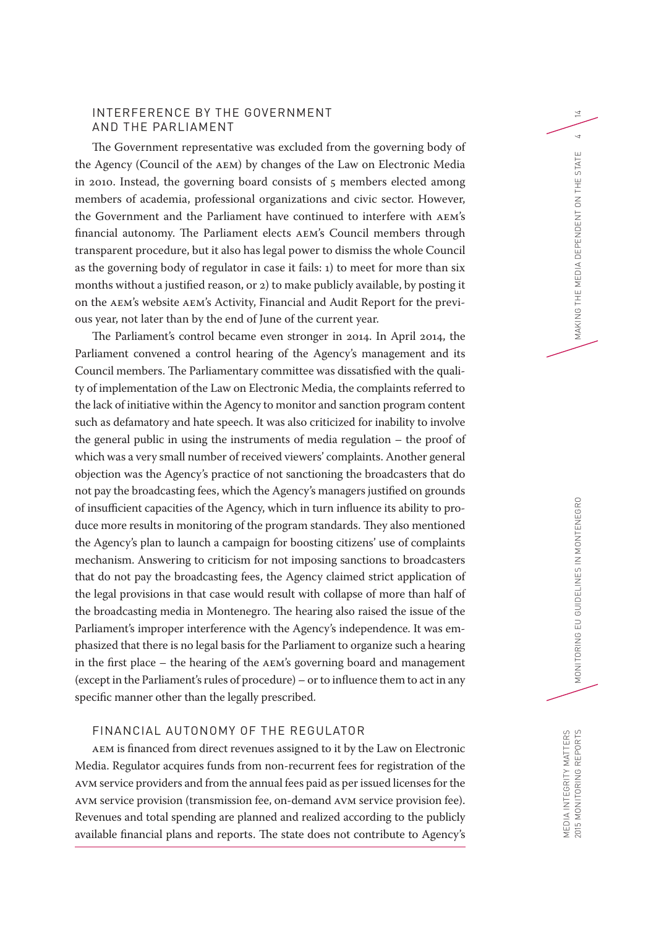#### INTERFERENCE BY THE GOVERNMENT AND THE PARLIAMENT

The Government representative was excluded from the governing body of the Agency (Council of the AEM) by changes of the Law on Electronic Media in 2010. Instead, the governing board consists of 5 members elected among members of academia, professional organizations and civic sector. However, the Government and the Parliament have continued to interfere with AEM's financial autonomy. The Parliament elects AEM's Council members through transparent procedure, but it also has legal power to dismiss the whole Council as the governing body of regulator in case it fails: 1) to meet for more than six months without a justified reason, or 2) to make publicly available, by posting it on the AEM's website AEM's Activity, Financial and Audit Report for the previous year, not later than by the end of June of the current year.

The Parliament's control became even stronger in 2014. In April 2014, the Parliament convened a control hearing of the Agency's management and its Council members. The Parliamentary committee was dissatisfied with the quality of implementation of the Law on Electronic Media, the complaints referred to the lack of initiative within the Agency to monitor and sanction program content such as defamatory and hate speech. It was also criticized for inability to involve the general public in using the instruments of media regulation – the proof of which was a very small number of received viewers' complaints. Another general objection was the Agency's practice of not sanctioning the broadcasters that do not pay the broadcasting fees, which the Agency's managers justified on grounds of insufficient capacities of the Agency, which in turn influence its ability to produce more results in monitoring of the program standards. They also mentioned the Agency's plan to launch a campaign for boosting citizens' use of complaints mechanism. Answering to criticism for not imposing sanctions to broadcasters that do not pay the broadcasting fees, the Agency claimed strict application of the legal provisions in that case would result with collapse of more than half of the broadcasting media in Montenegro. The hearing also raised the issue of the Parliament's improper interference with the Agency's independence. It was emphasized that there is no legal basis for the Parliament to organize such a hearing in the first place – the hearing of the AEM's governing board and management (except in the Parliament's rules of procedure) – or to influence them to act in any specific manner other than the legally prescribed.

# FINANCIAL AUTONOMY OF THE REGULATOR

AEM is financed from direct revenues assigned to it by the Law on Electronic Media. Regulator acquires funds from non-recurrent fees for registration of the AVM service providers and from the annual fees paid as per issued licenses for the AVM service provision (transmission fee, on-demand AVM service provision fee). Revenues and total spending are planned and realized according to the publicly available financial plans and reports. The state does not contribute to Agency's 14

 $\overline{a}$ ш

MAKING THE MEDIA DEPENDENT ON THE STATI

MEDIA INTEGRITY MATTERS<br>2015 MONITORING REPORTS MEDIA INTEGRITY MATTERS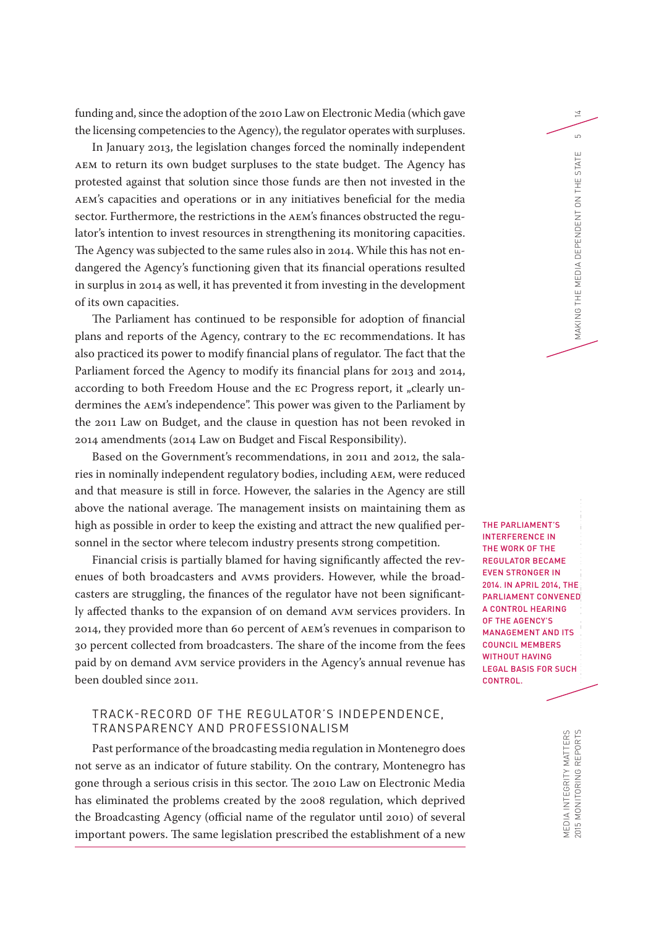funding and, since the adoption of the 2010 Law on Electronic Media (which gave the licensing competencies to the Agency), the regulator operates with surpluses.

In January 2013, the legislation changes forced the nominally independent AEM to return its own budget surpluses to the state budget. The Agency has protested against that solution since those funds are then not invested in the AEM's capacities and operations or in any initiatives beneficial for the media sector. Furthermore, the restrictions in the AEM's finances obstructed the regulator's intention to invest resources in strengthening its monitoring capacities. The Agency was subjected to the same rules also in 2014. While this has not endangered the Agency's functioning given that its financial operations resulted in surplus in 2014 as well, it has prevented it from investing in the development of its own capacities.

The Parliament has continued to be responsible for adoption of financial plans and reports of the Agency, contrary to the EC recommendations. It has also practiced its power to modify financial plans of regulator. The fact that the Parliament forced the Agency to modify its financial plans for 2013 and 2014, according to both Freedom House and the EC Progress report, it "clearly undermines the AEM's independence". This power was given to the Parliament by the 2011 Law on Budget, and the clause in question has not been revoked in 2014 amendments (2014 Law on Budget and Fiscal Responsibility).

Based on the Government's recommendations, in 2011 and 2012, the salaries in nominally independent regulatory bodies, including AEM, were reduced and that measure is still in force. However, the salaries in the Agency are still above the national average. The management insists on maintaining them as high as possible in order to keep the existing and attract the new qualified personnel in the sector where telecom industry presents strong competition.

Financial crisis is partially blamed for having significantly affected the revenues of both broadcasters and AVMS providers. However, while the broadcasters are struggling, the finances of the regulator have not been significantly affected thanks to the expansion of on demand AVM services providers. In 2014, they provided more than 60 percent of AEM's revenues in comparison to 30 percent collected from broadcasters. The share of the income from the fees paid by on demand AVM service providers in the Agency's annual revenue has been doubled since 2011.

#### TRACK-RECORD OF THE REGULATOR'S INDEPENDENCE, TRANSPARENCY AND PROFESSIONALISM

Past performance of the broadcasting media regulation in Montenegro does not serve as an indicator of future stability. On the contrary, Montenegro has gone through a serious crisis in this sector. The 2010 Law on Electronic Media has eliminated the problems created by the 2008 regulation, which deprived the Broadcasting Agency (official name of the regulator until 2010) of several important powers. The same legislation prescribed the establishment of a new

2015 MONITORING REPORTS MONITORING EURO EU GUIDELINES IN MAKING THE MONITORING THE MEDIA DEPENDENT ON THE STATE 5 STATE 5 STATE 5 STATE 5 STATE 4 STATE 4 STATE 4 STATE 5 STATE 4 STATE 4 STATE 4 STATE 4 STATE 4 STATE 4 STAT THE PARLIAMENT'S INTERFERENCE IN THE WORK OF THE REGULATOR BECAME EVEN STRONGER IN 2014. IN APRIL 2014, THE PARLIAMENT CONVENED A CONTROL HEARING OF THE AGENCY'S MANAGEMENT AND ITS COUNCIL MEMBERS WITHOUT HAVING LEGAL BASIS FOR SUCH CONTROL.

 $\overline{\Xi}$ 

 $\overline{a}$ Ш STATI

MAKING THE MEDIA DEPENDENT ON THE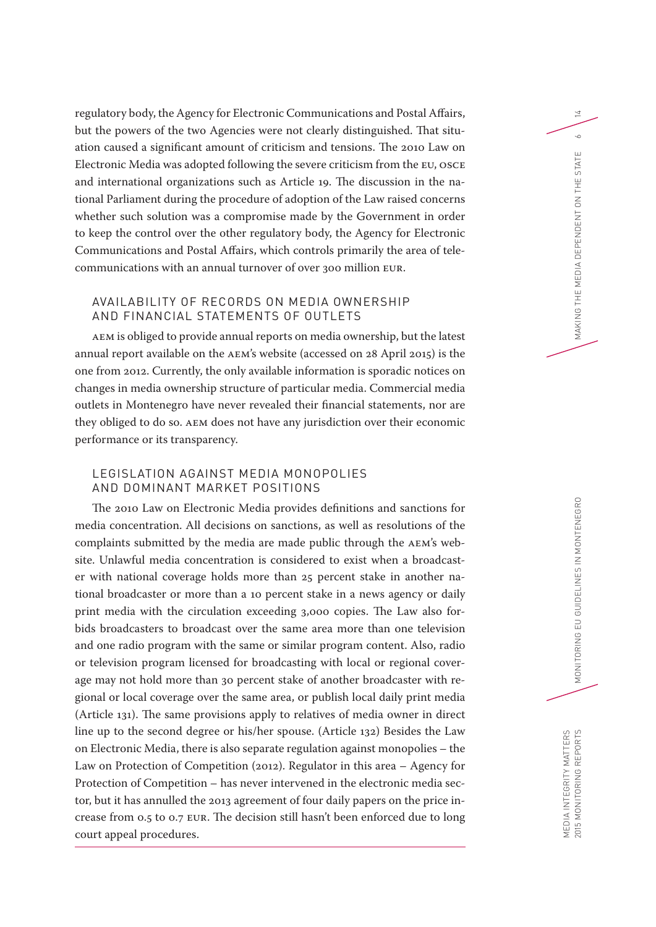regulatory body, the Agency for Electronic Communications and Postal Affairs, but the powers of the two Agencies were not clearly distinguished. That situation caused a significant amount of criticism and tensions. The 2010 Law on Electronic Media was adopted following the severe criticism from the EU, OSCE and international organizations such as Article 19. The discussion in the national Parliament during the procedure of adoption of the Law raised concerns whether such solution was a compromise made by the Government in order to keep the control over the other regulatory body, the Agency for Electronic Communications and Postal Affairs, which controls primarily the area of telecommunications with an annual turnover of over 300 million EUR.

## AVAILABILITY OF RECORDS ON MEDIA OWNERSHIP AND FINANCIAL STATEMENTS OF OUTLETS

AEM is obliged to provide annual reports on media ownership, but the latest annual report available on the AEM's website (accessed on 28 April 2015) is the one from 2012. Currently, the only available information is sporadic notices on changes in media ownership structure of particular media. Commercial media outlets in Montenegro have never revealed their financial statements, nor are they obliged to do so. AEM does not have any jurisdiction over their economic performance or its transparency.

#### LEGISLATION AGAINST MEDIA MONOPOLIES AND DOMINANT MARKET POSITIONS

The 2010 Law on Electronic Media provides definitions and sanctions for media concentration. All decisions on sanctions, as well as resolutions of the complaints submitted by the media are made public through the AEM's website. Unlawful media concentration is considered to exist when a broadcaster with national coverage holds more than 25 percent stake in another national broadcaster or more than a 10 percent stake in a news agency or daily print media with the circulation exceeding 3,000 copies. The Law also forbids broadcasters to broadcast over the same area more than one television and one radio program with the same or similar program content. Also, radio or television program licensed for broadcasting with local or regional coverage may not hold more than 30 percent stake of another broadcaster with regional or local coverage over the same area, or publish local daily print media (Article 131). The same provisions apply to relatives of media owner in direct line up to the second degree or his/her spouse. (Article 132) Besides the Law on Electronic Media, there is also separate regulation against monopolies – the Law on Protection of Competition (2012). Regulator in this area – Agency for Protection of Competition – has never intervened in the electronic media sector, but it has annulled the 2013 agreement of four daily papers on the price increase from 0.5 to 0.7 EUR. The decision still hasn't been enforced due to long court appeal procedures.

14

 $\sim$ Ш

MAKING THE MEDIA DEPENDENT ON THE STAT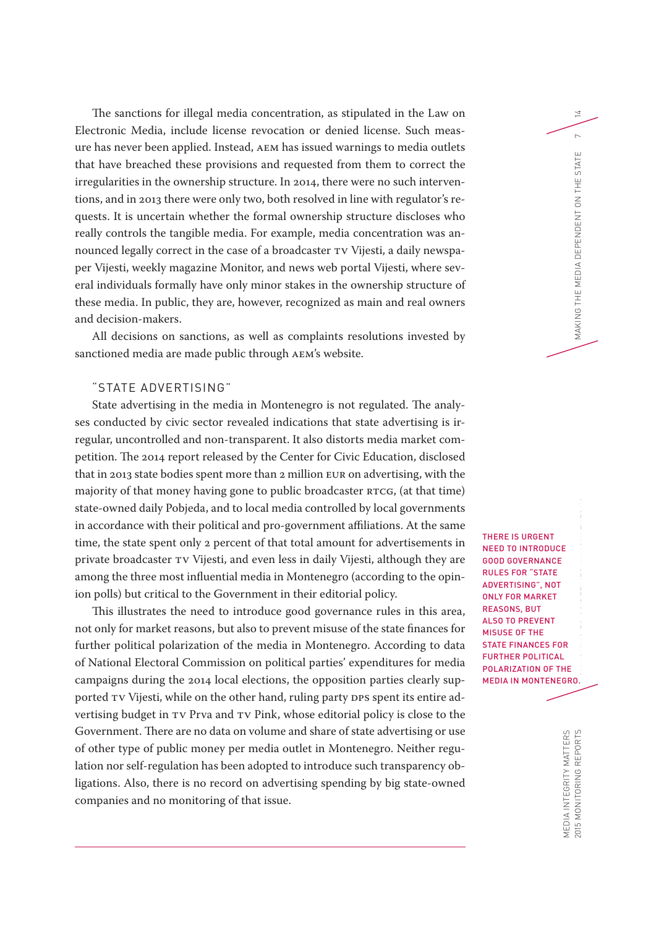The sanctions for illegal media concentration, as stipulated in the Law on Electronic Media, include license revocation or denied license. Such measure has never been applied. Instead, AEM has issued warnings to media outlets that have breached these provisions and requested from them to correct the irregularities in the ownership structure. In 2014, there were no such interventions, and in 2013 there were only two, both resolved in line with regulator's requests. It is uncertain whether the formal ownership structure discloses who really controls the tangible media. For example, media concentration was announced legally correct in the case of a broadcaster TV Vijesti, a daily newspaper Vijesti, weekly magazine Monitor, and news web portal Vijesti, where several individuals formally have only minor stakes in the ownership structure of these media. In public, they are, however, recognized as main and real owners and decision-makers.

All decisions on sanctions, as well as complaints resolutions invested by sanctioned media are made public through AEM's website.

## "STATE ADVERTISING"

State advertising in the media in Montenegro is not regulated. The analyses conducted by civic sector revealed indications that state advertising is irregular, uncontrolled and non-transparent. It also distorts media market competition. The 2014 report released by the Center for Civic Education, disclosed that in 2013 state bodies spent more than 2 million EUR on advertising, with the majority of that money having gone to public broadcaster RTCG, (at that time) state-owned daily Pobjeda, and to local media controlled by local governments in accordance with their political and pro-government affiliations. At the same time, the state spent only 2 percent of that total amount for advertisements in private broadcaster TV Vijesti, and even less in daily Vijesti, although they are among the three most influential media in Montenegro (according to the opinion polls) but critical to the Government in their editorial policy.

This illustrates the need to introduce good governance rules in this area, not only for market reasons, but also to prevent misuse of the state finances for further political polarization of the media in Montenegro. According to data of National Electoral Commission on political parties' expenditures for media campaigns during the 2014 local elections, the opposition parties clearly supported TV Vijesti, while on the other hand, ruling party DPS spent its entire advertising budget in TV Prva and TV Pink, whose editorial policy is close to the Government. There are no data on volume and share of state advertising or use of other type of public money per media outlet in Montenegro. Neither regulation nor self-regulation has been adopted to introduce such transparency obligations. Also, there is no record on advertising spending by big state-owned companies and no monitoring of that issue.

THERE IS URGENT NEED TO INTRODUCE GOOD GOVERNANCE RULES FOR "STATE ADVERTISING", NOT ONLY FOR MARKET REASONS, BUT ALSO TO PREVENT MISUSE OF THE STATE FINANCES FOR FURTHER POLITICAL POLARIZATION OF THE MEDIA IN MONTENEGRO.

 $\overline{4}$ 

 $\sim$ Ш

MAKING THE MEDIA DEPENDENT ON THE STAT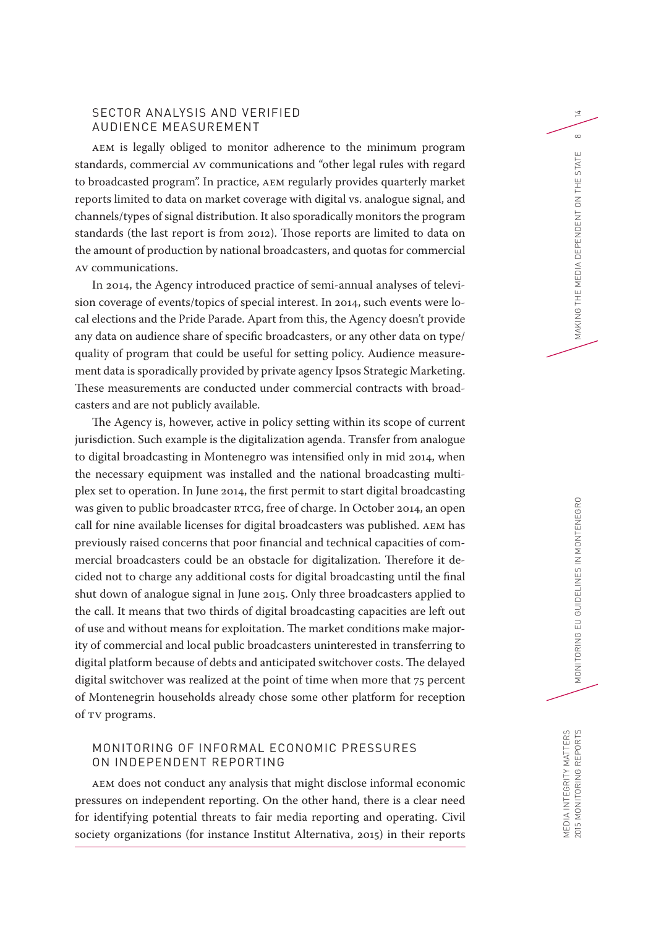## SECTOR ANALYSIS AND VERIFIED AUDIENCE MEASUREMENT

AEM is legally obliged to monitor adherence to the minimum program standards, commercial AV communications and "other legal rules with regard to broadcasted program". In practice, AEM regularly provides quarterly market reports limited to data on market coverage with digital vs. analogue signal, and channels/types of signal distribution. It also sporadically monitors the program standards (the last report is from 2012). Those reports are limited to data on the amount of production by national broadcasters, and quotas for commercial AV communications.

In 2014, the Agency introduced practice of semi-annual analyses of television coverage of events/topics of special interest. In 2014, such events were local elections and the Pride Parade. Apart from this, the Agency doesn't provide any data on audience share of specific broadcasters, or any other data on type/ quality of program that could be useful for setting policy. Audience measurement data is sporadically provided by private agency Ipsos Strategic Marketing. These measurements are conducted under commercial contracts with broadcasters and are not publicly available.

The Agency is, however, active in policy setting within its scope of current jurisdiction. Such example is the digitalization agenda. Transfer from analogue to digital broadcasting in Montenegro was intensified only in mid 2014, when the necessary equipment was installed and the national broadcasting multiplex set to operation. In June 2014, the first permit to start digital broadcasting was given to public broadcaster RTCG, free of charge. In October 2014, an open call for nine available licenses for digital broadcasters was published. AEM has previously raised concerns that poor financial and technical capacities of commercial broadcasters could be an obstacle for digitalization. Therefore it decided not to charge any additional costs for digital broadcasting until the final shut down of analogue signal in June 2015. Only three broadcasters applied to the call. It means that two thirds of digital broadcasting capacities are left out of use and without means for exploitation. The market conditions make majority of commercial and local public broadcasters uninterested in transferring to digital platform because of debts and anticipated switchover costs. The delayed digital switchover was realized at the point of time when more that 75 percent of Montenegrin households already chose some other platform for reception of TV programs.

#### MONITORING OF INFORMAL ECONOMIC PRESSURES ON INDEPENDENT REPORTING

AEM does not conduct any analysis that might disclose informal economic pressures on independent reporting. On the other hand, there is a clear need for identifying potential threats to fair media reporting and operating. Civil society organizations (for instance Institut Alternativa, 2015) in their reports 14

 $\infty$ Ш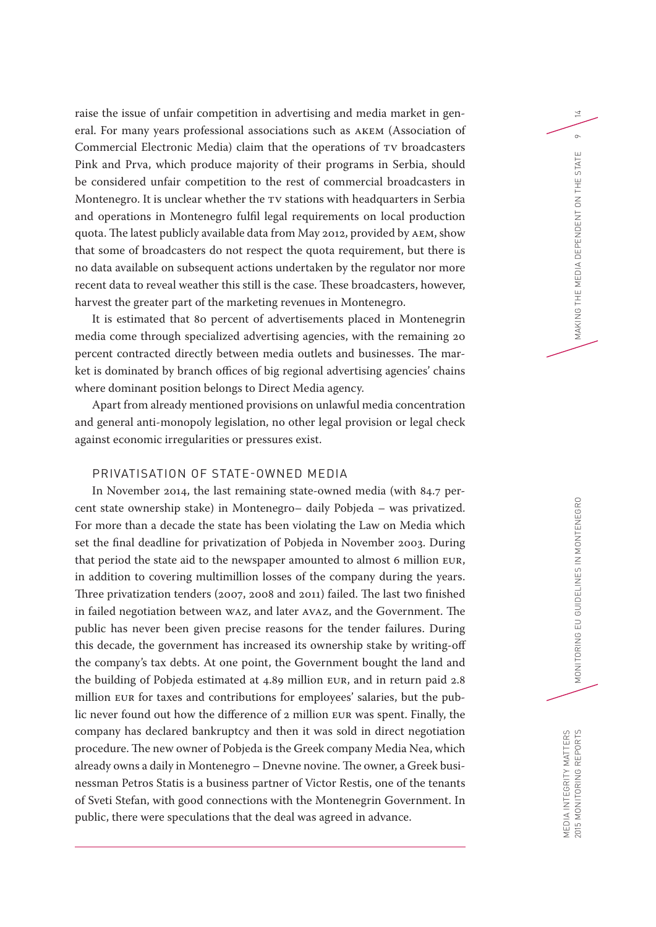raise the issue of unfair competition in advertising and media market in general. For many years professional associations such as AKEM (Association of Commercial Electronic Media) claim that the operations of TV broadcasters Pink and Prva, which produce majority of their programs in Serbia, should be considered unfair competition to the rest of commercial broadcasters in Montenegro. It is unclear whether the TV stations with headquarters in Serbia and operations in Montenegro fulfil legal requirements on local production quota. The latest publicly available data from May 2012, provided by AEM, show that some of broadcasters do not respect the quota requirement, but there is no data available on subsequent actions undertaken by the regulator nor more recent data to reveal weather this still is the case. These broadcasters, however, harvest the greater part of the marketing revenues in Montenegro.

It is estimated that 80 percent of advertisements placed in Montenegrin media come through specialized advertising agencies, with the remaining 20 percent contracted directly between media outlets and businesses. The market is dominated by branch offices of big regional advertising agencies' chains where dominant position belongs to Direct Media agency.

Apart from already mentioned provisions on unlawful media concentration and general anti-monopoly legislation, no other legal provision or legal check against economic irregularities or pressures exist.

#### PRIVATISATION OF STATE-OWNED MEDIA

In November 2014, the last remaining state-owned media (with 84.7 percent state ownership stake) in Montenegro– daily Pobjeda – was privatized. For more than a decade the state has been violating the Law on Media which set the final deadline for privatization of Pobjeda in November 2003. During that period the state aid to the newspaper amounted to almost 6 million EUR, in addition to covering multimillion losses of the company during the years. Three privatization tenders (2007, 2008 and 2011) failed. The last two finished in failed negotiation between WAZ, and later AVAZ, and the Government. The public has never been given precise reasons for the tender failures. During this decade, the government has increased its ownership stake by writing-off the company's tax debts. At one point, the Government bought the land and the building of Pobjeda estimated at 4.89 million EUR, and in return paid 2.8 million EUR for taxes and contributions for employees' salaries, but the public never found out how the difference of 2 million EUR was spent. Finally, the company has declared bankruptcy and then it was sold in direct negotiation procedure. The new owner of Pobjeda is the Greek company Media Nea, which already owns a daily in Montenegro – Dnevne novine. The owner, a Greek businessman Petros Statis is a business partner of Victor Restis, one of the tenants of Sveti Stefan, with good connections with the Montenegrin Government. In public, there were speculations that the deal was agreed in advance.

 $\overline{4}$ 

 $\circ$ Ш

MAKING THE MEDIA DEPENDENT ON THE STAT

MEDIA INTEGRITY MATTERS<br>2015 MONITORING REPORTS MEDIA INTEGRITY MATTERS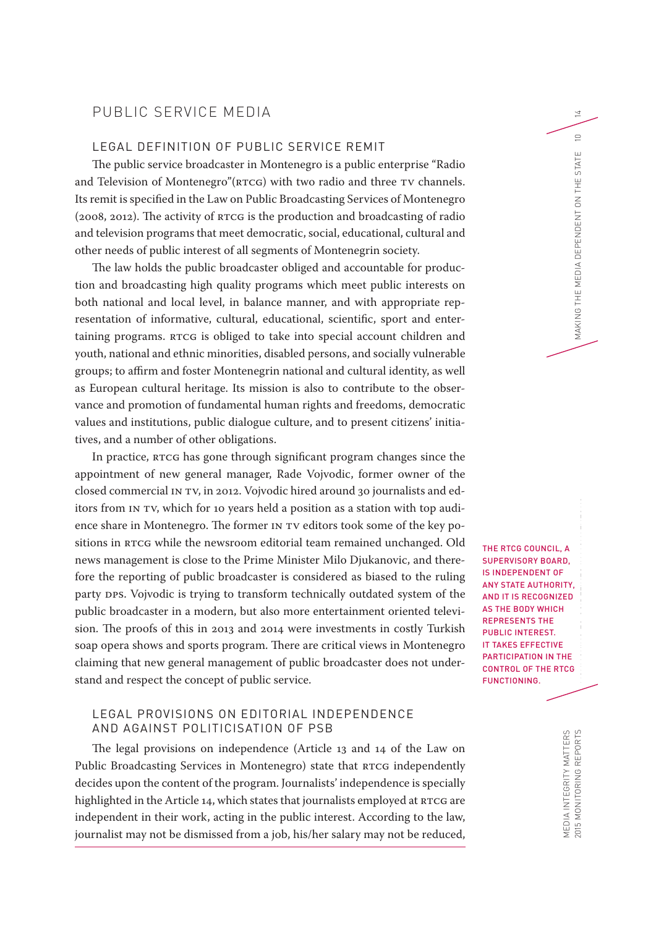# PUBLIC SERVICE MEDIA

# LEGAL DEFINITION OF PUBLIC SERVICE REMIT

The public service broadcaster in Montenegro is a public enterprise "Radio and Television of Montenegro"(RTCG) with two radio and three TV channels. Its remit is specified in the Law on Public Broadcasting Services of Montenegro (2008, 2012). The activity of RTCG is the production and broadcasting of radio and television programs that meet democratic, social, educational, cultural and other needs of public interest of all segments of Montenegrin society.

The law holds the public broadcaster obliged and accountable for production and broadcasting high quality programs which meet public interests on both national and local level, in balance manner, and with appropriate representation of informative, cultural, educational, scientific, sport and entertaining programs. RTCG is obliged to take into special account children and youth, national and ethnic minorities, disabled persons, and socially vulnerable groups; to affirm and foster Montenegrin national and cultural identity, as well as European cultural heritage. Its mission is also to contribute to the observance and promotion of fundamental human rights and freedoms, democratic values and institutions, public dialogue culture, and to present citizens' initiatives, and a number of other obligations.

In practice, RTCG has gone through significant program changes since the appointment of new general manager, Rade Vojvodic, former owner of the closed commercial IN TV, in 2012. Vojvodic hired around 30 journalists and editors from IN TV, which for 10 years held a position as a station with top audience share in Montenegro. The former IN TV editors took some of the key positions in RTCG while the newsroom editorial team remained unchanged. Old news management is close to the Prime Minister Milo Djukanovic, and therefore the reporting of public broadcaster is considered as biased to the ruling party DPS. Vojvodic is trying to transform technically outdated system of the public broadcaster in a modern, but also more entertainment oriented television. The proofs of this in 2013 and 2014 were investments in costly Turkish soap opera shows and sports program. There are critical views in Montenegro claiming that new general management of public broadcaster does not understand and respect the concept of public service.

#### LEGAL PROVISIONS ON EDITORIAL INDEPENDENCE AND AGAINST POLITICISATION OF PSB

The legal provisions on independence (Article 13 and 14 of the Law on Public Broadcasting Services in Montenegro) state that RTCG independently decides upon the content of the program. Journalists' independence is specially highlighted in the Article 14, which states that journalists employed at RTCG are independent in their work, acting in the public interest. According to the law, journalist may not be dismissed from a job, his/her salary may not be reduced, THE RTCG COUNCIL, A SUPERVISORY BOARD, IS INDEPENDENT OF ANY STATE AUTHORITY, AND IT IS RECOGNIZED AS THE BODY WHICH REPRESENTS THE PUBLIC INTEREST. IT TAKES EFFECTIVE PARTICIPATION IN THE CONTROL OF THE RTCG FUNCTIONING.

MEDIA INTEGRITY MATTERS

MEDIA INTEGRITY MATTERS<br>2015 MONITORING REPORTS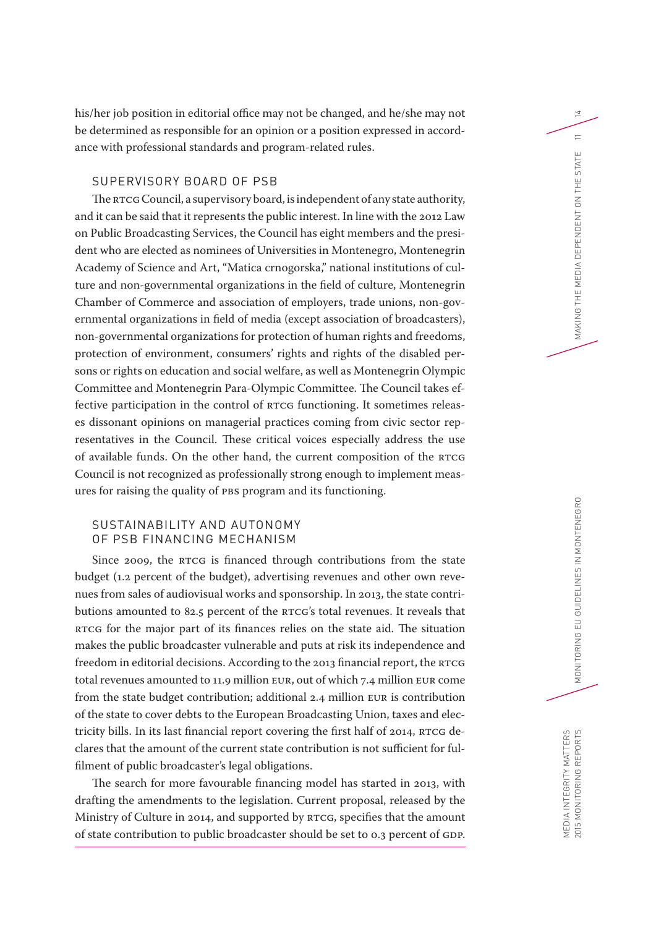his/her job position in editorial office may not be changed, and he/she may not be determined as responsible for an opinion or a position expressed in accordance with professional standards and program-related rules.

## SUPERVISORY BOARD OF PSB

The RTCG Council, a supervisory board, is independent of any state authority, and it can be said that it represents the public interest. In line with the 2012 Law on Public Broadcasting Services, the Council has eight members and the president who are elected as nominees of Universities in Montenegro, Montenegrin Academy of Science and Art, "Matica crnogorska," national institutions of culture and non-governmental organizations in the field of culture, Montenegrin Chamber of Commerce and association of employers, trade unions, non-governmental organizations in field of media (except association of broadcasters), non-governmental organizations for protection of human rights and freedoms, protection of environment, consumers' rights and rights of the disabled persons or rights on education and social welfare, as well as Montenegrin Olympic Committee and Montenegrin Para-Olympic Committee. The Council takes effective participation in the control of RTCG functioning. It sometimes releases dissonant opinions on managerial practices coming from civic sector representatives in the Council. These critical voices especially address the use of available funds. On the other hand, the current composition of the RTCG Council is not recognized as professionally strong enough to implement measures for raising the quality of PBS program and its functioning.

# SUSTAINABILITY AND AUTONOMY OF PSB FINANCING MECHANISM

Since 2009, the RTCG is financed through contributions from the state budget (1.2 percent of the budget), advertising revenues and other own revenues from sales of audiovisual works and sponsorship. In 2013, the state contributions amounted to 82.5 percent of the RTCG's total revenues. It reveals that RTCG for the major part of its finances relies on the state aid. The situation makes the public broadcaster vulnerable and puts at risk its independence and freedom in editorial decisions. According to the 2013 financial report, the RTCG total revenues amounted to 11.9 million EUR, out of which 7.4 million EUR come from the state budget contribution; additional 2.4 million EUR is contribution of the state to cover debts to the European Broadcasting Union, taxes and electricity bills. In its last financial report covering the first half of 2014, RTCG declares that the amount of the current state contribution is not sufficient for fulfilment of public broadcaster's legal obligations.

The search for more favourable financing model has started in 2013, with drafting the amendments to the legislation. Current proposal, released by the Ministry of Culture in 2014, and supported by RTCG, specifies that the amount of state contribution to public broadcaster should be set to 0.3 percent of GDP.

14

 $\equiv$ ш

MAKING THE MEDIA DEPENDENT ON THE STATI

MEDIA INTEGRITY MATTERS

MEDIA INTEGRITY MATTERS<br>2015 MONITORING REPORTS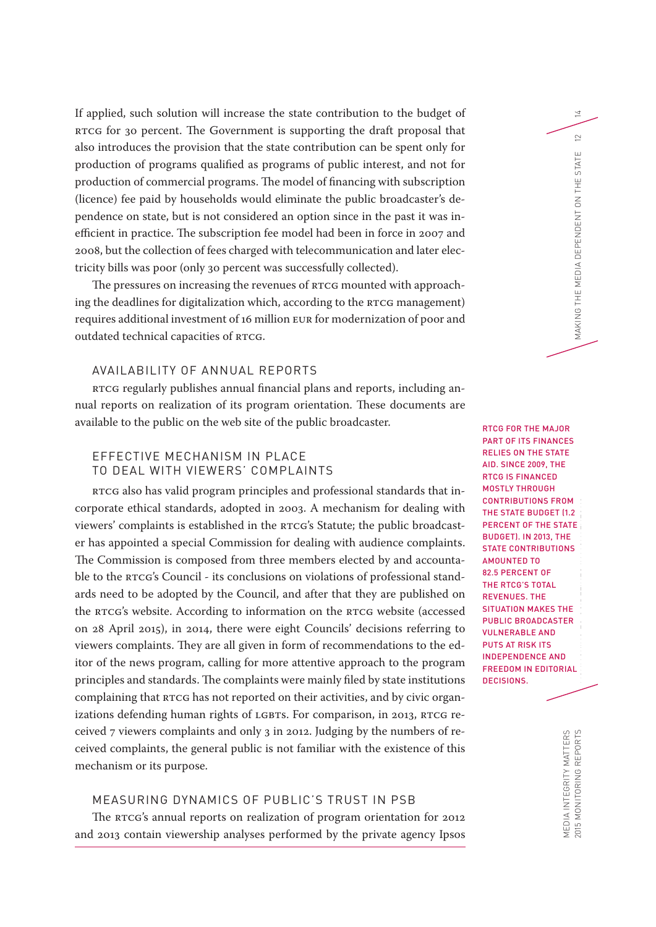If applied, such solution will increase the state contribution to the budget of RTCG for 30 percent. The Government is supporting the draft proposal that also introduces the provision that the state contribution can be spent only for production of programs qualified as programs of public interest, and not for production of commercial programs. The model of financing with subscription (licence) fee paid by households would eliminate the public broadcaster's dependence on state, but is not considered an option since in the past it was inefficient in practice. The subscription fee model had been in force in 2007 and 2008, but the collection of fees charged with telecommunication and later electricity bills was poor (only 30 percent was successfully collected).

The pressures on increasing the revenues of RTCG mounted with approaching the deadlines for digitalization which, according to the RTCG management) requires additional investment of 16 million EUR for modernization of poor and outdated technical capacities of RTCG.

## AVAILABILITY OF ANNUAL REPORTS

RTCG regularly publishes annual financial plans and reports, including annual reports on realization of its program orientation. These documents are available to the public on the web site of the public broadcaster.

## EFFECTIVE MECHANISM IN PLACE TO DEAL WITH VIEWERS' COMPLAINTS

RTCG also has valid program principles and professional standards that incorporate ethical standards, adopted in 2003. A mechanism for dealing with viewers' complaints is established in the RTCG's Statute; the public broadcaster has appointed a special Commission for dealing with audience complaints. The Commission is composed from three members elected by and accountable to the RTCG's Council - its conclusions on violations of professional standards need to be adopted by the Council, and after that they are published on the RTCG's website. According to information on the RTCG website (accessed on 28 April 2015), in 2014, there were eight Councils' decisions referring to viewers complaints. They are all given in form of recommendations to the editor of the news program, calling for more attentive approach to the program principles and standards. The complaints were mainly filed by state institutions complaining that RTCG has not reported on their activities, and by civic organizations defending human rights of LGBTs. For comparison, in 2013, RTCG received 7 viewers complaints and only 3 in 2012. Judging by the numbers of received complaints, the general public is not familiar with the existence of this mechanism or its purpose.

#### MEASURING DYNAMICS OF PUBLIC'S TRUST IN PSB

The RTCG's annual reports on realization of program orientation for 2012 and 2013 contain viewership analyses performed by the private agency Ipsos

2015 MONITORING REPORTS MONITORING REPORTS MONITORING EUROPENT ON MAKING THE MAKING THE STATE 12 NON-DEPENDENT ON THE STATE 12 NON-DEPENDENT ON THE STATE 12 NON-RTCG FOR THE MAJOR PART OF ITS FINANCES RELIES ON THE STATE AID. SINCE 2009, THE RTCG IS FINANCED MOSTLY THROUGH CONTRIBUTIONS FROM THE STATE BUDGET (1.2 PERCENT OF THE STATE BUDGET). IN 2013, THE STATE CONTRIBUTIONS AMOUNTED TO 82.5 PERCENT OF THE RTCG'S TOTAL REVENUES. THE SITUATION MAKES THE PUBLIC BROADCASTER VULNERABLE AND PUTS AT RISK ITS INDEPENDENCE AND FREEDOM IN EDITORIAL DECISIONS.

14

 $\supseteq$ Ш

MAKING THE MEDIA DEPENDENT ON THE STATI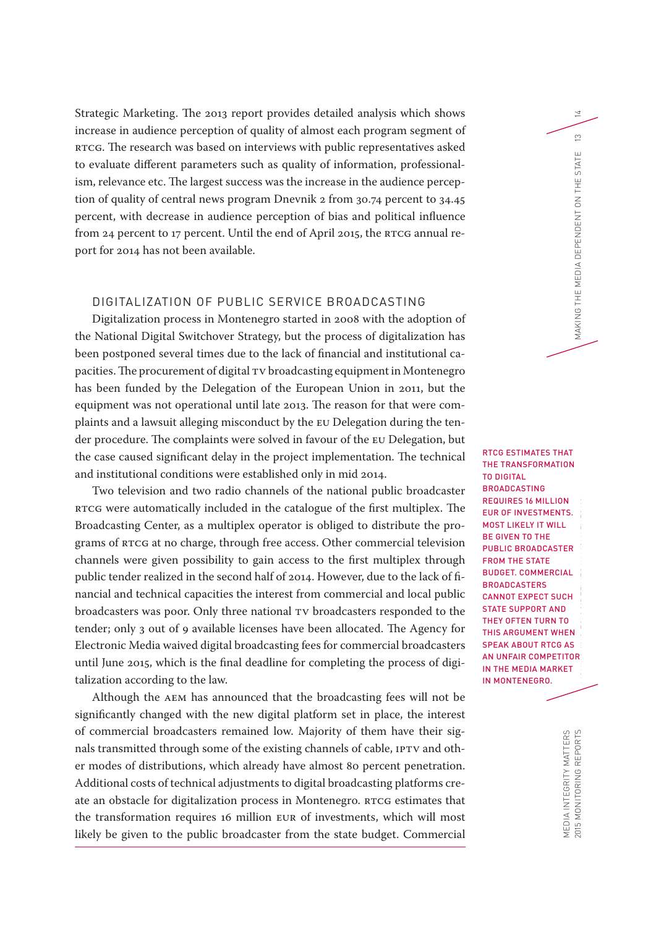Strategic Marketing. The 2013 report provides detailed analysis which shows increase in audience perception of quality of almost each program segment of RTCG. The research was based on interviews with public representatives asked to evaluate different parameters such as quality of information, professionalism, relevance etc. The largest success was the increase in the audience perception of quality of central news program Dnevnik 2 from 30.74 percent to 34.45 percent, with decrease in audience perception of bias and political influence from 24 percent to 17 percent. Until the end of April 2015, the RTCG annual report for 2014 has not been available.

# DIGITALIZATION OF PUBLIC SERVICE BROADCASTING

Digitalization process in Montenegro started in 2008 with the adoption of the National Digital Switchover Strategy, but the process of digitalization has been postponed several times due to the lack of financial and institutional capacities. The procurement of digital TV broadcasting equipment in Montenegro has been funded by the Delegation of the European Union in 2011, but the equipment was not operational until late 2013. The reason for that were complaints and a lawsuit alleging misconduct by the EU Delegation during the tender procedure. The complaints were solved in favour of the EU Delegation, but the case caused significant delay in the project implementation. The technical and institutional conditions were established only in mid 2014.

Two television and two radio channels of the national public broadcaster RTCG were automatically included in the catalogue of the first multiplex. The Broadcasting Center, as a multiplex operator is obliged to distribute the programs of RTCG at no charge, through free access. Other commercial television channels were given possibility to gain access to the first multiplex through public tender realized in the second half of 2014. However, due to the lack of financial and technical capacities the interest from commercial and local public broadcasters was poor. Only three national TV broadcasters responded to the tender; only 3 out of 9 available licenses have been allocated. The Agency for Electronic Media waived digital broadcasting fees for commercial broadcasters until June 2015, which is the final deadline for completing the process of digitalization according to the law.

Although the AEM has announced that the broadcasting fees will not be significantly changed with the new digital platform set in place, the interest of commercial broadcasters remained low. Majority of them have their signals transmitted through some of the existing channels of cable, IPTV and other modes of distributions, which already have almost 80 percent penetration. Additional costs of technical adjustments to digital broadcasting platforms create an obstacle for digitalization process in Montenegro. RTCG estimates that the transformation requires 16 million EUR of investments, which will most likely be given to the public broadcaster from the state budget. Commercial

2015 MONITORING REPORTS MONITORING EUROPERS MONITORING EUROPERS IN MAKING THE MEDIA DEPENDENT ON THE STATE  $13$ RTCG ESTIMATES THAT THE TRANSFORMATION TO DIGITAL BROADCASTING REQUIRES 16 MILLION EUR OF INVESTMENTS. MOST LIKELY IT WILL BE GIVEN TO THE PUBLIC BROADCASTER FROM THE STATE BUDGET. COMMERCIAL **BROADCASTERS** CANNOT EXPECT SUCH STATE SUPPORT AND THEY OFTEN TURN TO THIS ARGUMENT WHEN SPEAK ABOUT RTCG AS AN UNFAIR COMPETITOR IN THE MEDIA MARKET IN MONTENEGRO.

14

 $\infty$ Ш STATE

MAKING THE MEDIA DEPENDENT ON THE